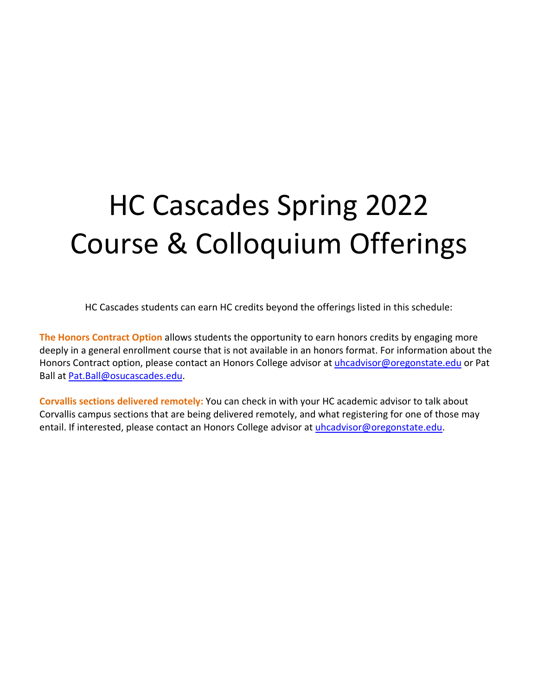# HC Cascades Spring 2022 Course & Colloquium Offerings

HC Cascades students can earn HC credits beyond the offerings listed in this schedule:

**The Honors Contract Option** allows students the opportunity to earn honors credits by engaging more deeply in a general enrollment course that is not available in an honors format. For information about the Honors Contract option, please contact an Honors College advisor at [uhcadvisor@oregonstate.edu](mailto:uhcadvisor@oregonstate.edu) or Pat Ball at [Pat.Ball@osucascades.edu.](mailto:Pat.Ball@osucascades.edu)

**Corvallis sections delivered remotely:** You can check in with your HC academic advisor to talk about Corvallis campus sections that are being delivered remotely, and what registering for one of those may entail. If interested, please contact an Honors College advisor at [uhcadvisor@oregonstate.edu.](mailto:uhcadvisor@oregonstate.edu)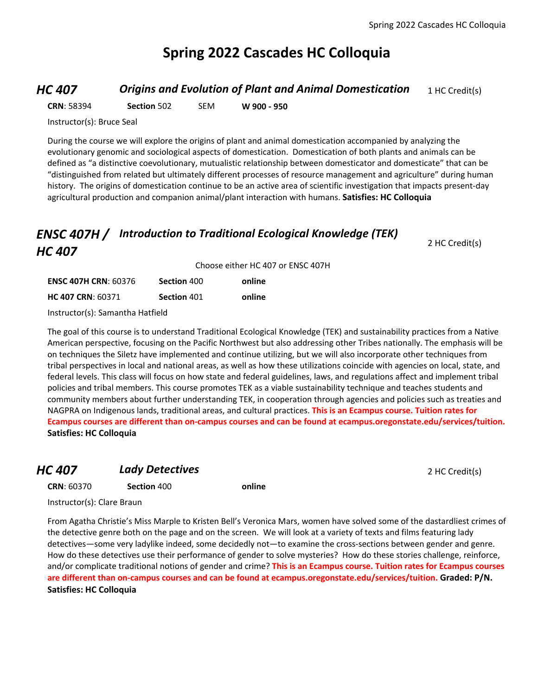# **Spring 2022 Cascades HC Colloquia**

### *HC 407* **Origins and Evolution of Plant and Animal Domestication** 1 HC Credit(s)

**CRN**: 58394 **Section** 502 SEM **W 900 - 950**

Instructor(s): Bruce Seal

During the course we will explore the origins of plant and animal domestication accompanied by analyzing the evolutionary genomic and sociological aspects of domestication. Domestication of both plants and animals can be defined as "a distinctive coevolutionary, mutualistic relationship between domesticator and domesticate" that can be "distinguished from related but ultimately different processes of resource management and agriculture" during human history. The origins of domestication continue to be an active area of scientific investigation that impacts present-day agricultural production and companion animal/plant interaction with humans. **Satisfies: HC Colloquia**

# *ENSC 407H / Introduction to Traditional Ecological Knowledge (TEK) HC 407*

|                             | Choose either HC 407 or ENSC 407H |        |  |
|-----------------------------|-----------------------------------|--------|--|
| <b>ENSC 407H CRN: 60376</b> | Section 400                       | online |  |
| <b>HC 407 CRN: 60371</b>    | Section 401                       | online |  |

Instructor(s): Samantha Hatfield

The goal of this course is to understand Traditional Ecological Knowledge (TEK) and sustainability practices from a Native American perspective, focusing on the Pacific Northwest but also addressing other Tribes nationally. The emphasis will be on techniques the Siletz have implemented and continue utilizing, but we will also incorporate other techniques from tribal perspectives in local and national areas, as well as how these utilizations coincide with agencies on local, state, and federal levels. This class will focus on how state and federal guidelines, laws, and regulations affect and implement tribal policies and tribal members. This course promotes TEK as a viable sustainability technique and teaches students and community members about further understanding TEK, in cooperation through agencies and policies such as treaties and NAGPRA on Indigenous lands, traditional areas, and cultural practices. **This is an Ecampus course. Tuition rates for Ecampus courses are different than on-campus courses and can be found at ecampus.oregonstate.edu/services/tuition. Satisfies: HC Colloquia**

### **HC 407 Lady Detectives 2 HC Credit(s)**

2 HC Credit(s)

**CRN**: 60370 **Section** 400 **online**

Instructor(s): Clare Braun

From Agatha Christie's Miss Marple to Kristen Bell's Veronica Mars, women have solved some of the dastardliest crimes of the detective genre both on the page and on the screen. We will look at a variety of texts and films featuring lady detectives—some very ladylike indeed, some decidedly not—to examine the cross-sections between gender and genre. How do these detectives use their performance of gender to solve mysteries? How do these stories challenge, reinforce, and/or complicate traditional notions of gender and crime? **This is an Ecampus course. Tuition rates for Ecampus courses are different than on-campus courses and can be found at ecampus.oregonstate.edu/services/tuition. Graded: P/N. Satisfies: HC Colloquia**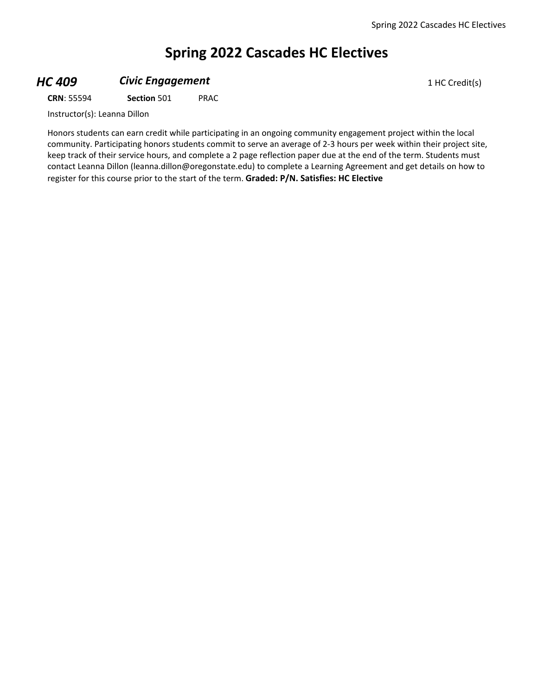# **Spring 2022 Cascades HC Electives**

#### **HC 409 Civic Engagement Civic Engagement** 1 HC Credit(s)

**CRN**: 55594 **Section** 501 PRAC

Instructor(s): Leanna Dillon

Honors students can earn credit while participating in an ongoing community engagement project within the local community. Participating honors students commit to serve an average of 2-3 hours per week within their project site, keep track of their service hours, and complete a 2 page reflection paper due at the end of the term. Students must contact Leanna Dillon (leanna.dillon@oregonstate.edu) to complete a Learning Agreement and get details on how to register for this course prior to the start of the term. **Graded: P/N. Satisfies: HC Elective**